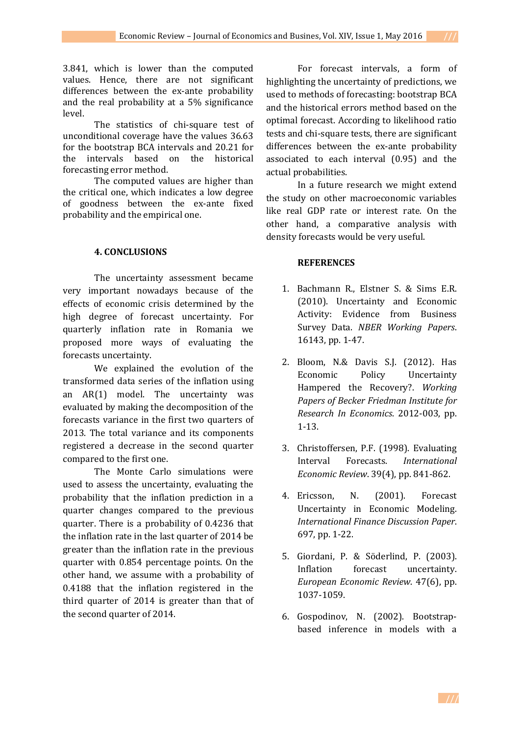3.841, which is lower than the computed values. Hence, there are not significant differences between the ex-ante probability and the real probability at a 5% significance level.

The statistics of chi-square test of unconditional coverage have the values 36.63 for the bootstrap BCA intervals and 20.21 for<br>the intervals based on the historical intervals based on the historical forecasting error method.

The computed values are higher than the critical one, which indicates a low degree of goodness between the ex-ante fixed probability and the empirical one.

## **4. CONCLUSIONS**

The uncertainty assessment became very important nowadays because of the effects of economic crisis determined by the high degree of forecast uncertainty. For quarterly inflation rate in Romania we proposed more ways of evaluating the forecasts uncertainty.

We explained the evolution of the transformed data series of the inflation using an AR(1) model. The uncertainty was evaluated by making the decomposition of the forecasts variance in the first two quarters of 2013. The total variance and its components registered a decrease in the second quarter compared to the first one.

The Monte Carlo simulations were used to assess the uncertainty, evaluating the probability that the inflation prediction in a quarter changes compared to the previous quarter. There is a probability of 0.4236 that the inflation rate in the last quarter of 2014 be greater than the inflation rate in the previous quarter with 0.854 percentage points. On the other hand, we assume with a probability of 0.4188 that the inflation registered in the third quarter of 2014 is greater than that of the second quarter of 2014.

For forecast intervals, a form of highlighting the uncertainty of predictions, we used to methods of forecasting: bootstrap BCA and the historical errors method based on the optimal forecast. According to likelihood ratio tests and chi-square tests, there are significant differences between the ex-ante probability associated to each interval (0.95) and the actual probabilities.

In a future research we might extend the study on other macroeconomic variables like real GDP rate or interest rate. On the other hand, a comparative analysis with density forecasts would be very useful.

## **REFERENCES**

- 1. Bachmann R., Elstner S. & Sims E.R. (2010). [Uncertainty](http://ideas.repec.org/p/nbr/nberwo/16143.html) and Economic Activity: [Evidence](http://ideas.repec.org/p/nbr/nberwo/16143.html) from Business [Survey](http://ideas.repec.org/p/nbr/nberwo/16143.html) Data. *NBER [Working](http://ideas.repec.org/s/nbr/nberwo.html) Papers*. 16143, pp. 1-47.
- 2. Bloom, N.& Davis S.J. (2012). [Has](http://ideas.repec.org/p/bfi/wpaper/2012-003.html) Economic Policy [Uncertainty](http://ideas.repec.org/p/bfi/wpaper/2012-003.html) Hampered the [Recovery?.](http://ideas.repec.org/p/bfi/wpaper/2012-003.html) *[Working](http://ideas.repec.org/s/bfi/wpaper.html) [Papers](http://ideas.repec.org/s/bfi/wpaper.html) of Becker Friedman Institute for Research In Economics*. 2012-003, pp. 1-13.
- 3. Christoffersen, P.F. (1998). [Evaluating](http://ideas.repec.org/a/ier/iecrev/v39y1998i4p841-62.html) Interval [Forecasts.](http://ideas.repec.org/a/ier/iecrev/v39y1998i4p841-62.html) *[International](http://ideas.repec.org/s/ier/iecrev.html) [Economic](http://ideas.repec.org/s/ier/iecrev.html) Review*. 39(4), pp. 841-862.
- 4. Ericsson, N. (2001). Forecast Uncertainty in Economic Modeling. *International Finance Discussion Paper*. 697, pp. 1-22.
- 5. Giordani, P. & Söderlind, P. (2003). Inflation forecast uncertainty. *European [Economic](http://www.sciencedirect.com/science/journal/00142921) Review*. [47\(6\)](http://www.sciencedirect.com/science?_ob=PublicationURL&_tockey=%23TOC%235804%232003%23999529993%23469787%23FLA%23&_cdi=5804&_pubType=J&view=c&_auth=y&_acct=C000050221&_version=1&_urlVersion=0&_userid=10&md5=05824fada967984c305cfe19fe42af0e), pp. 1037-1059.
- 6. Gospodinov, N. (2002). Bootstrapbased inference in models with a